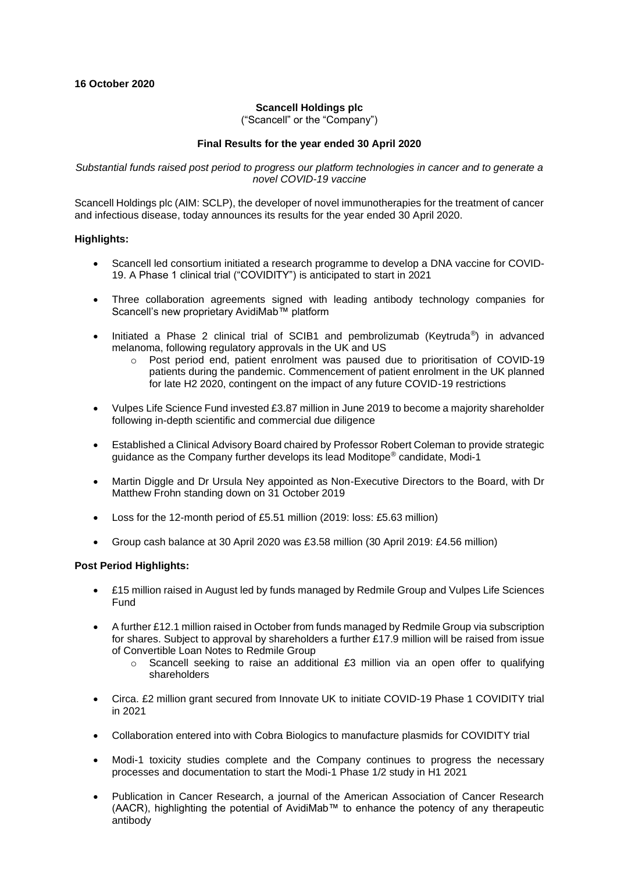## **Scancell Holdings plc**

("Scancell" or the "Company")

### **Final Results for the year ended 30 April 2020**

*Substantial funds raised post period to progress our platform technologies in cancer and to generate a novel COVID-19 vaccine*

Scancell Holdings plc (AIM: SCLP), the developer of novel immunotherapies for the treatment of cancer and infectious disease, today announces its results for the year ended 30 April 2020.

### **Highlights:**

- Scancell led consortium initiated a research programme to develop a DNA vaccine for COVID-19. A Phase 1 clinical trial ("COVIDITY") is anticipated to start in 2021
- Three collaboration agreements signed with leading antibody technology companies for Scancell's new proprietary AvidiMab™ platform
- Initiated a Phase 2 clinical trial of SCIB1 and pembrolizumab (Keytruda®) in advanced melanoma, following regulatory approvals in the UK and US
	- $\circ$  Post period end, patient enrolment was paused due to prioritisation of COVID-19 patients during the pandemic. Commencement of patient enrolment in the UK planned for late H2 2020, contingent on the impact of any future COVID-19 restrictions
- Vulpes Life Science Fund invested £3.87 million in June 2019 to become a majority shareholder following in-depth scientific and commercial due diligence
- Established a Clinical Advisory Board chaired by Professor Robert Coleman to provide strategic guidance as the Company further develops its lead Moditope® candidate, Modi-1
- Martin Diggle and Dr Ursula Ney appointed as Non-Executive Directors to the Board, with Dr Matthew Frohn standing down on 31 October 2019
- Loss for the 12-month period of £5.51 million (2019: loss: £5.63 million)
- Group cash balance at 30 April 2020 was £3.58 million (30 April 2019: £4.56 million)

#### **Post Period Highlights:**

- £15 million raised in August led by funds managed by Redmile Group and Vulpes Life Sciences Fund
- A further £12.1 million raised in October from funds managed by Redmile Group via subscription for shares. Subject to approval by shareholders a further £17.9 million will be raised from issue of Convertible Loan Notes to Redmile Group
	- $\circ$  Scancell seeking to raise an additional £3 million via an open offer to qualifying shareholders
- Circa. £2 million grant secured from Innovate UK to initiate COVID-19 Phase 1 COVIDITY trial in 2021
- Collaboration entered into with Cobra Biologics to manufacture plasmids for COVIDITY trial
- Modi-1 toxicity studies complete and the Company continues to progress the necessary processes and documentation to start the Modi-1 Phase 1/2 study in H1 2021
- Publication in Cancer Research, a journal of the American Association of Cancer Research (AACR), highlighting the potential of AvidiMab™ to enhance the potency of any therapeutic antibody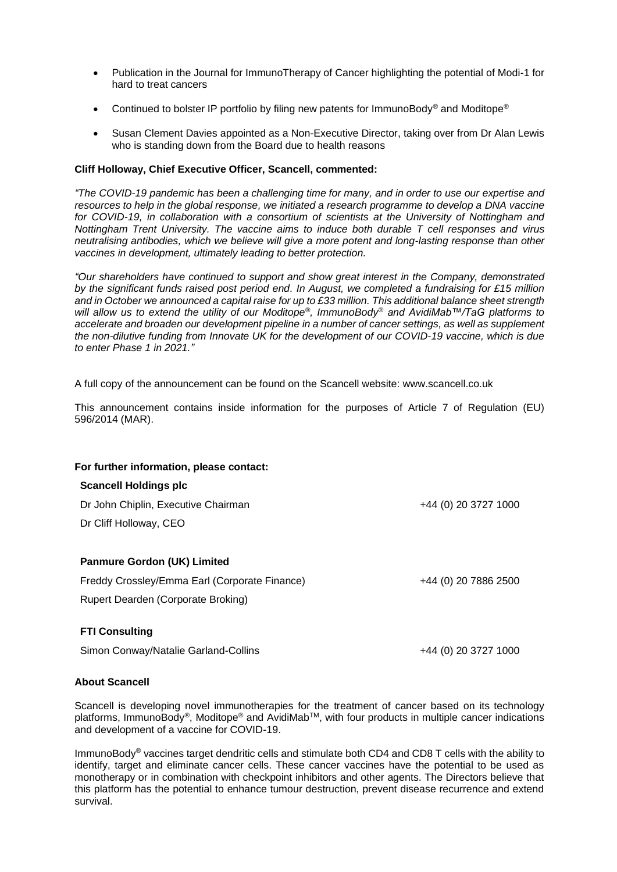- Publication in the Journal for ImmunoTherapy of Cancer highlighting the potential of Modi-1 for hard to treat cancers
- Continued to bolster IP portfolio by filing new patents for ImmunoBody® and Moditope®
- Susan Clement Davies appointed as a Non-Executive Director, taking over from Dr Alan Lewis who is standing down from the Board due to health reasons

## **Cliff Holloway, Chief Executive Officer, Scancell, commented:**

*"The COVID-19 pandemic has been a challenging time for many, and in order to use our expertise and resources to help in the global response, we initiated a research programme to develop a DNA vaccine for COVID-19, in collaboration with a consortium of scientists at the University of Nottingham and Nottingham Trent University. The vaccine aims to induce both durable T cell responses and virus neutralising antibodies, which we believe will give a more potent and long-lasting response than other vaccines in development, ultimately leading to better protection.*

*"Our shareholders have continued to support and show great interest in the Company, demonstrated by the significant funds raised post period end. In August, we completed a fundraising for £15 million and in October we announced a capital raise for up to £33 million. This additional balance sheet strength will allow us to extend the utility of our Moditope®, ImmunoBody® and AvidiMab™/TaG platforms to accelerate and broaden our development pipeline in a number of cancer settings, as well as supplement the non-dilutive funding from Innovate UK for the development of our COVID-19 vaccine, which is due to enter Phase 1 in 2021."*

A full copy of the announcement can be found on the Scancell website: www.scancell.co.uk

This announcement contains inside information for the purposes of Article 7 of Regulation (EU) 596/2014 (MAR).

| For further information, please contact:      |                      |
|-----------------------------------------------|----------------------|
| <b>Scancell Holdings plc</b>                  |                      |
| Dr John Chiplin, Executive Chairman           | +44 (0) 20 3727 1000 |
| Dr Cliff Holloway, CEO                        |                      |
|                                               |                      |
| <b>Panmure Gordon (UK) Limited</b>            |                      |
| Freddy Crossley/Emma Earl (Corporate Finance) | +44 (0) 20 7886 2500 |
| Rupert Dearden (Corporate Broking)            |                      |
|                                               |                      |
| <b>FTI Consulting</b>                         |                      |

Simon Conway/Natalie Garland-Collins +44 (0) 20 3727 1000

## **About Scancell**

Scancell is developing novel immunotherapies for the treatment of cancer based on its technology platforms, ImmunoBody<sup>®</sup>, Moditope<sup>®</sup> and AvidiMab<sup>™</sup>, with four products in multiple cancer indications and development of a vaccine for COVID-19.

ImmunoBody® vaccines target dendritic cells and stimulate both CD4 and CD8 T cells with the ability to identify, target and eliminate cancer cells. These cancer vaccines have the potential to be used as monotherapy or in combination with checkpoint inhibitors and other agents. The Directors believe that this platform has the potential to enhance tumour destruction, prevent disease recurrence and extend survival.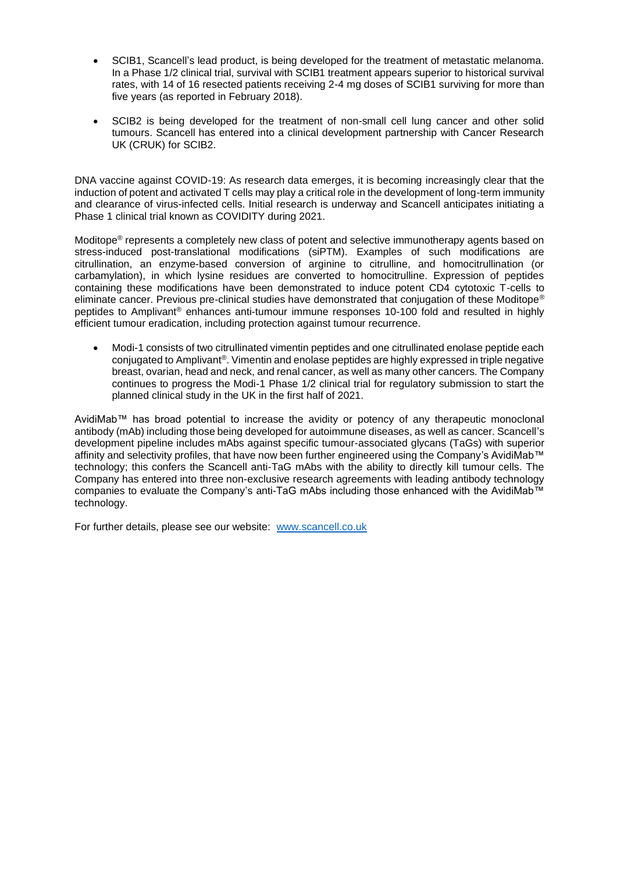- SCIB1, Scancell's lead product, is being developed for the treatment of metastatic melanoma. In a Phase 1/2 clinical trial, survival with SCIB1 treatment appears superior to historical survival rates, with 14 of 16 resected patients receiving 2-4 mg doses of SCIB1 surviving for more than five years (as reported in February 2018).
- SCIB2 is being developed for the treatment of non-small cell lung cancer and other solid tumours. Scancell has entered into a clinical development partnership with Cancer Research UK (CRUK) for SCIB2.

DNA vaccine against COVID-19: As research data emerges, it is becoming increasingly clear that the induction of potent and activated T cells may play a critical role in the development of long-term immunity and clearance of virus-infected cells. Initial research is underway and Scancell anticipates initiating a Phase 1 clinical trial known as COVIDITY during 2021.

Moditope® represents a completely new class of potent and selective immunotherapy agents based on stress-induced post-translational modifications (siPTM). Examples of such modifications are citrullination, an enzyme-based conversion of arginine to citrulline, and homocitrullination (or carbamylation), in which lysine residues are converted to homocitrulline. Expression of peptides containing these modifications have been demonstrated to induce potent CD4 cytotoxic T-cells to eliminate cancer. Previous pre-clinical studies have demonstrated that conjugation of these Moditope® peptides to Amplivant® enhances anti-tumour immune responses 10-100 fold and resulted in highly efficient tumour eradication, including protection against tumour recurrence.

• Modi-1 consists of two citrullinated vimentin peptides and one citrullinated enolase peptide each conjugated to Amplivant®. Vimentin and enolase peptides are highly expressed in triple negative breast, ovarian, head and neck, and renal cancer, as well as many other cancers. The Company continues to progress the Modi-1 Phase 1/2 clinical trial for regulatory submission to start the planned clinical study in the UK in the first half of 2021.

AvidiMab™ has broad potential to increase the avidity or potency of any therapeutic monoclonal antibody (mAb) including those being developed for autoimmune diseases, as well as cancer. Scancell's development pipeline includes mAbs against specific tumour-associated glycans (TaGs) with superior affinity and selectivity profiles, that have now been further engineered using the Company's AvidiMab™ technology; this confers the Scancell anti-TaG mAbs with the ability to directly kill tumour cells. The Company has entered into three non-exclusive research agreements with leading antibody technology companies to evaluate the Company's anti-TaG mAbs including those enhanced with the AvidiMab™ technology.

For further details, please see our website: [www.scancell.co.uk](http://www.scancell.co.uk/)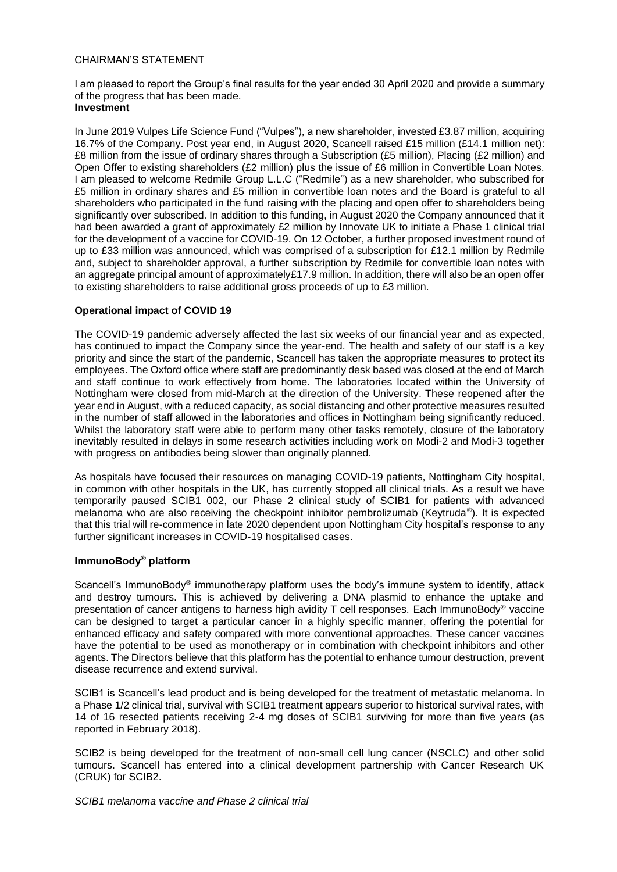### CHAIRMAN'S STATEMENT

I am pleased to report the Group's final results for the year ended 30 April 2020 and provide a summary of the progress that has been made.

# **Investment**

In June 2019 Vulpes Life Science Fund ("Vulpes"), a new shareholder, invested £3.87 million, acquiring 16.7% of the Company. Post year end, in August 2020, Scancell raised £15 million (£14.1 million net): £8 million from the issue of ordinary shares through a Subscription (£5 million), Placing (£2 million) and Open Offer to existing shareholders (£2 million) plus the issue of £6 million in Convertible Loan Notes. I am pleased to welcome Redmile Group L.L.C ("Redmile") as a new shareholder, who subscribed for £5 million in ordinary shares and £5 million in convertible loan notes and the Board is grateful to all shareholders who participated in the fund raising with the placing and open offer to shareholders being significantly over subscribed. In addition to this funding, in August 2020 the Company announced that it had been awarded a grant of approximately £2 million by Innovate UK to initiate a Phase 1 clinical trial for the development of a vaccine for COVID-19. On 12 October, a further proposed investment round of up to £33 million was announced, which was comprised of a subscription for £12.1 million by Redmile and, subject to shareholder approval, a further subscription by Redmile for convertible loan notes with an aggregate principal amount of approximately£17.9 million. In addition, there will also be an open offer to existing shareholders to raise additional gross proceeds of up to £3 million.

### **Operational impact of COVID 19**

The COVID-19 pandemic adversely affected the last six weeks of our financial year and as expected, has continued to impact the Company since the year-end. The health and safety of our staff is a key priority and since the start of the pandemic, Scancell has taken the appropriate measures to protect its employees. The Oxford office where staff are predominantly desk based was closed at the end of March and staff continue to work effectively from home. The laboratories located within the University of Nottingham were closed from mid-March at the direction of the University. These reopened after the year end in August, with a reduced capacity, as social distancing and other protective measures resulted in the number of staff allowed in the laboratories and offices in Nottingham being significantly reduced. Whilst the laboratory staff were able to perform many other tasks remotely, closure of the laboratory inevitably resulted in delays in some research activities including work on Modi-2 and Modi-3 together with progress on antibodies being slower than originally planned.

As hospitals have focused their resources on managing COVID-19 patients, Nottingham City hospital, in common with other hospitals in the UK, has currently stopped all clinical trials. As a result we have temporarily paused SCIB1 002, our Phase 2 clinical study of SCIB1 for patients with advanced melanoma who are also receiving the checkpoint inhibitor pembrolizumab (Keytruda®). It is expected that this trial will re-commence in late 2020 dependent upon Nottingham City hospital's response to any further significant increases in COVID-19 hospitalised cases.

# **ImmunoBody® platform**

Scancell's ImmunoBody<sup>®</sup> immunotherapy platform uses the body's immune system to identify, attack and destroy tumours. This is achieved by delivering a DNA plasmid to enhance the uptake and presentation of cancer antigens to harness high avidity T cell responses. Each ImmunoBody<sup>®</sup> vaccine can be designed to target a particular cancer in a highly specific manner, offering the potential for enhanced efficacy and safety compared with more conventional approaches. These cancer vaccines have the potential to be used as monotherapy or in combination with checkpoint inhibitors and other agents. The Directors believe that this platform has the potential to enhance tumour destruction, prevent disease recurrence and extend survival.

SCIB1 is Scancell's lead product and is being developed for the treatment of metastatic melanoma. In a Phase 1/2 clinical trial, survival with SCIB1 treatment appears superior to historical survival rates, with 14 of 16 resected patients receiving 2-4 mg doses of SCIB1 surviving for more than five years (as reported in February 2018).

SCIB2 is being developed for the treatment of non-small cell lung cancer (NSCLC) and other solid tumours. Scancell has entered into a clinical development partnership with Cancer Research UK (CRUK) for SCIB2.

*SCIB1 melanoma vaccine and Phase 2 clinical trial*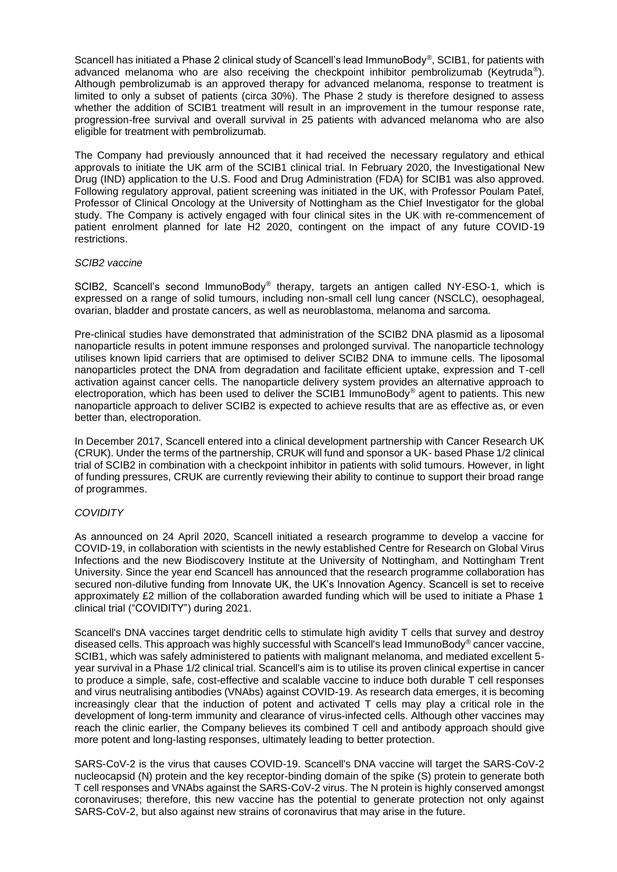Scancell has initiated a Phase 2 clinical study of Scancell's lead ImmunoBody®, SCIB1, for patients with advanced melanoma who are also receiving the checkpoint inhibitor pembrolizumab (Keytruda®). Although pembrolizumab is an approved therapy for advanced melanoma, response to treatment is limited to only a subset of patients (circa 30%). The Phase 2 study is therefore designed to assess whether the addition of SCIB1 treatment will result in an improvement in the tumour response rate, progression-free survival and overall survival in 25 patients with advanced melanoma who are also eligible for treatment with pembrolizumab.

The Company had previously announced that it had received the necessary regulatory and ethical approvals to initiate the UK arm of the SCIB1 clinical trial. In February 2020, the Investigational New Drug (IND) application to the U.S. Food and Drug Administration (FDA) for SCIB1 was also approved. Following regulatory approval, patient screening was initiated in the UK, with Professor Poulam Patel, Professor of Clinical Oncology at the University of Nottingham as the Chief Investigator for the global study. The Company is actively engaged with four clinical sites in the UK with re-commencement of patient enrolment planned for late H2 2020, contingent on the impact of any future COVID-19 restrictions.

#### *SCIB2 vaccine*

SCIB2, Scancell's second ImmunoBody® therapy, targets an antigen called NY-ESO-1, which is expressed on a range of solid tumours, including non-small cell lung cancer (NSCLC), oesophageal, ovarian, bladder and prostate cancers, as well as neuroblastoma, melanoma and sarcoma.

Pre-clinical studies have demonstrated that administration of the SCIB2 DNA plasmid as a liposomal nanoparticle results in potent immune responses and prolonged survival. The nanoparticle technology utilises known lipid carriers that are optimised to deliver SCIB2 DNA to immune cells. The liposomal nanoparticles protect the DNA from degradation and facilitate efficient uptake, expression and T-cell activation against cancer cells. The nanoparticle delivery system provides an alternative approach to electroporation, which has been used to deliver the SCIB1 ImmunoBody® agent to patients. This new nanoparticle approach to deliver SCIB2 is expected to achieve results that are as effective as, or even better than, electroporation.

In December 2017, Scancell entered into a clinical development partnership with Cancer Research UK (CRUK). Under the terms of the partnership, CRUK will fund and sponsor a UK- based Phase 1/2 clinical trial of SCIB2 in combination with a checkpoint inhibitor in patients with solid tumours. However, in light of funding pressures, CRUK are currently reviewing their ability to continue to support their broad range of programmes.

#### *COVIDITY*

As announced on 24 April 2020, Scancell initiated a research programme to develop a vaccine for COVID-19, in collaboration with scientists in the newly established Centre for Research on Global Virus Infections and the new Biodiscovery Institute at the University of Nottingham, and Nottingham Trent University. Since the year end Scancell has announced that the research programme collaboration has secured non-dilutive funding from Innovate UK, the UK's Innovation Agency. Scancell is set to receive approximately £2 million of the collaboration awarded funding which will be used to initiate a Phase 1 clinical trial ("COVIDITY") during 2021.

Scancell's DNA vaccines target dendritic cells to stimulate high avidity T cells that survey and destroy diseased cells. This approach was highly successful with Scancell's lead ImmunoBody® cancer vaccine, SCIB1, which was safely administered to patients with malignant melanoma, and mediated excellent 5 year survival in a Phase 1/2 clinical trial. Scancell's aim is to utilise its proven clinical expertise in cancer to produce a simple, safe, cost-effective and scalable vaccine to induce both durable T cell responses and virus neutralising antibodies (VNAbs) against COVID-19. As research data emerges, it is becoming increasingly clear that the induction of potent and activated T cells may play a critical role in the development of long-term immunity and clearance of virus-infected cells. Although other vaccines may reach the clinic earlier, the Company believes its combined T cell and antibody approach should give more potent and long-lasting responses, ultimately leading to better protection.

SARS-CoV-2 is the virus that causes COVID-19. Scancell's DNA vaccine will target the SARS-CoV-2 nucleocapsid (N) protein and the key receptor-binding domain of the spike (S) protein to generate both T cell responses and VNAbs against the SARS-CoV-2 virus. The N protein is highly conserved amongst coronaviruses; therefore, this new vaccine has the potential to generate protection not only against SARS-CoV-2, but also against new strains of coronavirus that may arise in the future.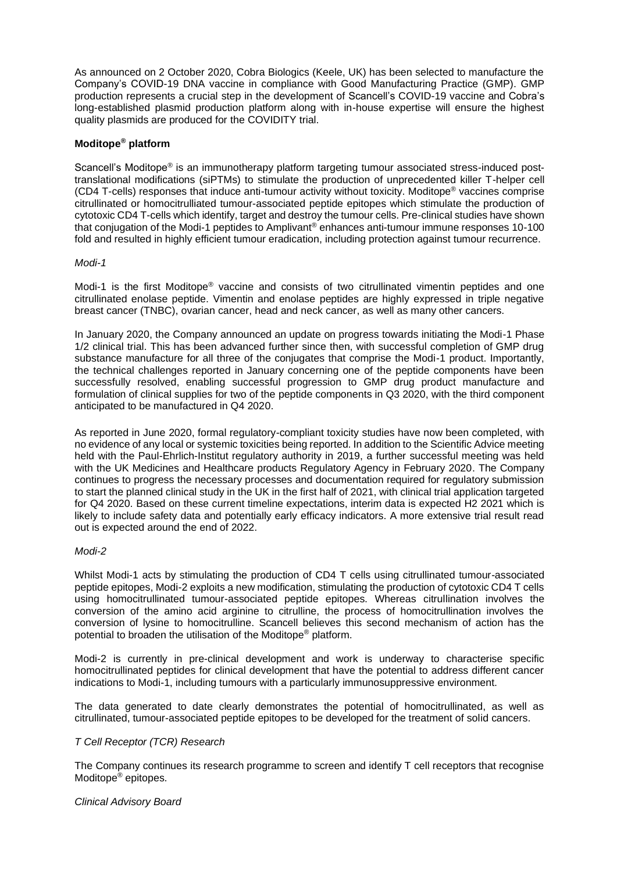As announced on 2 October 2020, Cobra Biologics (Keele, UK) has been selected to manufacture the Company's COVID-19 DNA vaccine in compliance with Good Manufacturing Practice (GMP). GMP production represents a crucial step in the development of Scancell's COVID-19 vaccine and Cobra's long-established plasmid production platform along with in-house expertise will ensure the highest quality plasmids are produced for the COVIDITY trial.

## **Moditope® platform**

Scancell's Moditope<sup>®</sup> is an immunotherapy platform targeting tumour associated stress-induced posttranslational modifications (siPTMs) to stimulate the production of unprecedented killer T-helper cell (CD4 T-cells) responses that induce anti-tumour activity without toxicity. Moditope® vaccines comprise citrullinated or homocitrulliated tumour-associated peptide epitopes which stimulate the production of cytotoxic CD4 T-cells which identify, target and destroy the tumour cells. Pre-clinical studies have shown that conjugation of the Modi-1 peptides to Amplivant® enhances anti-tumour immune responses 10-100 fold and resulted in highly efficient tumour eradication, including protection against tumour recurrence.

#### *Modi-1*

Modi-1 is the first Moditope® vaccine and consists of two citrullinated vimentin peptides and one citrullinated enolase peptide. Vimentin and enolase peptides are highly expressed in triple negative breast cancer (TNBC), ovarian cancer, head and neck cancer, as well as many other cancers.

In January 2020, the Company announced an update on progress towards initiating the Modi-1 Phase 1/2 clinical trial. This has been advanced further since then, with successful completion of GMP drug substance manufacture for all three of the conjugates that comprise the Modi-1 product. Importantly, the technical challenges reported in January concerning one of the peptide components have been successfully resolved, enabling successful progression to GMP drug product manufacture and formulation of clinical supplies for two of the peptide components in Q3 2020, with the third component anticipated to be manufactured in Q4 2020.

As reported in June 2020, formal regulatory-compliant toxicity studies have now been completed, with no evidence of any local or systemic toxicities being reported. In addition to the Scientific Advice meeting held with the Paul-Ehrlich-Institut regulatory authority in 2019, a further successful meeting was held with the UK Medicines and Healthcare products Regulatory Agency in February 2020. The Company continues to progress the necessary processes and documentation required for regulatory submission to start the planned clinical study in the UK in the first half of 2021, with clinical trial application targeted for Q4 2020. Based on these current timeline expectations, interim data is expected H2 2021 which is likely to include safety data and potentially early efficacy indicators. A more extensive trial result read out is expected around the end of 2022.

#### *Modi-2*

Whilst Modi-1 acts by stimulating the production of CD4 T cells using citrullinated tumour-associated peptide epitopes, Modi-2 exploits a new modification, stimulating the production of cytotoxic CD4 T cells using homocitrullinated tumour-associated peptide epitopes. Whereas citrullination involves the conversion of the amino acid arginine to citrulline, the process of homocitrullination involves the conversion of lysine to homocitrulline. Scancell believes this second mechanism of action has the potential to broaden the utilisation of the Moditope® platform.

Modi-2 is currently in pre-clinical development and work is underway to characterise specific homocitrullinated peptides for clinical development that have the potential to address different cancer indications to Modi-1, including tumours with a particularly immunosuppressive environment.

The data generated to date clearly demonstrates the potential of homocitrullinated, as well as citrullinated, tumour-associated peptide epitopes to be developed for the treatment of solid cancers.

## *T Cell Receptor (TCR) Research*

The Company continues its research programme to screen and identify T cell receptors that recognise Moditope<sup>®</sup> epitopes.

#### *Clinical Advisory Board*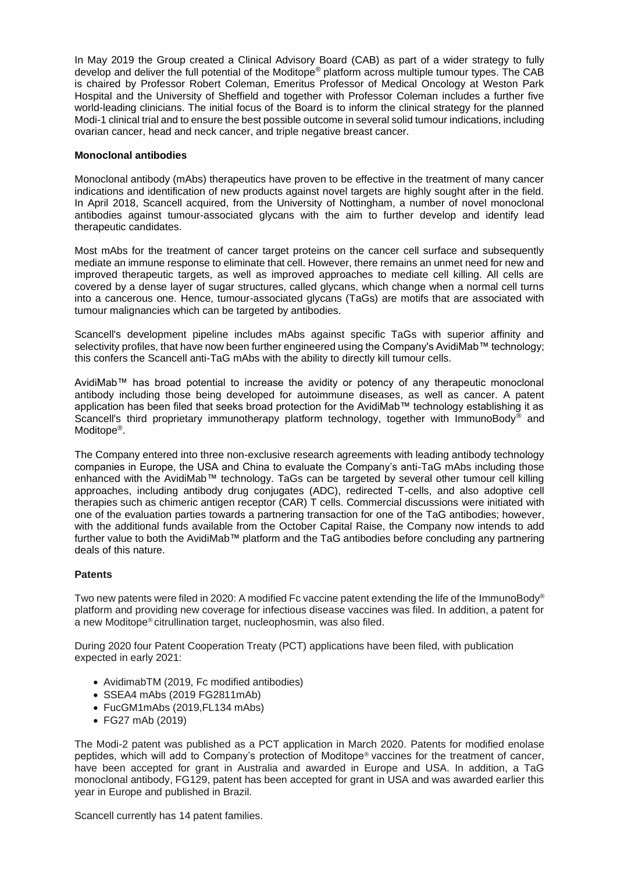In May 2019 the Group created a Clinical Advisory Board (CAB) as part of a wider strategy to fully develop and deliver the full potential of the Moditope® platform across multiple tumour types. The CAB is chaired by Professor Robert Coleman, Emeritus Professor of Medical Oncology at Weston Park Hospital and the University of Sheffield and together with Professor Coleman includes a further five world-leading clinicians. The initial focus of the Board is to inform the clinical strategy for the planned Modi-1 clinical trial and to ensure the best possible outcome in several solid tumour indications, including ovarian cancer, head and neck cancer, and triple negative breast cancer.

### **Monoclonal antibodies**

Monoclonal antibody (mAbs) therapeutics have proven to be effective in the treatment of many cancer indications and identification of new products against novel targets are highly sought after in the field. In April 2018, Scancell acquired, from the University of Nottingham, a number of novel monoclonal antibodies against tumour-associated glycans with the aim to further develop and identify lead therapeutic candidates.

Most mAbs for the treatment of cancer target proteins on the cancer cell surface and subsequently mediate an immune response to eliminate that cell. However, there remains an unmet need for new and improved therapeutic targets, as well as improved approaches to mediate cell killing. All cells are covered by a dense layer of sugar structures, called glycans, which change when a normal cell turns into a cancerous one. Hence, tumour-associated glycans (TaGs) are motifs that are associated with tumour malignancies which can be targeted by antibodies.

Scancell's development pipeline includes mAbs against specific TaGs with superior affinity and selectivity profiles, that have now been further engineered using the Company's AvidiMab™ technology; this confers the Scancell anti-TaG mAbs with the ability to directly kill tumour cells.

AvidiMab™ has broad potential to increase the avidity or potency of any therapeutic monoclonal antibody including those being developed for autoimmune diseases, as well as cancer. A patent application has been filed that seeks broad protection for the AvidiMab™ technology establishing it as Scancell's third proprietary immunotherapy platform technology, together with ImmunoBody<sup>®</sup> and Moditope<sup>®</sup>.

The Company entered into three non-exclusive research agreements with leading antibody technology companies in Europe, the USA and China to evaluate the Company's anti-TaG mAbs including those enhanced with the AvidiMab™ technology. TaGs can be targeted by several other tumour cell killing approaches, including antibody drug conjugates (ADC), redirected T-cells, and also adoptive cell therapies such as chimeric antigen receptor (CAR) T cells. Commercial discussions were initiated with one of the evaluation parties towards a partnering transaction for one of the TaG antibodies; however, with the additional funds available from the October Capital Raise, the Company now intends to add further value to both the AvidiMab™ platform and the TaG antibodies before concluding any partnering deals of this nature.

## **Patents**

Two new patents were filed in 2020: A modified Fc vaccine patent extending the life of the ImmunoBody® platform and providing new coverage for infectious disease vaccines was filed. In addition, a patent for a new Moditope® citrullination target, nucleophosmin, was also filed.

During 2020 four Patent Cooperation Treaty (PCT) applications have been filed, with publication expected in early 2021:

- AvidimabTM (2019, Fc modified antibodies)
- SSEA4 mAbs (2019 FG2811mAb)
- FucGM1mAbs (2019,FL134 mAbs)
- FG27 mAb (2019)

The Modi-2 patent was published as a PCT application in March 2020. Patents for modified enolase peptides, which will add to Company's protection of Moditope® vaccines for the treatment of cancer, have been accepted for grant in Australia and awarded in Europe and USA. In addition, a TaG monoclonal antibody, FG129, patent has been accepted for grant in USA and was awarded earlier this year in Europe and published in Brazil.

Scancell currently has 14 patent families.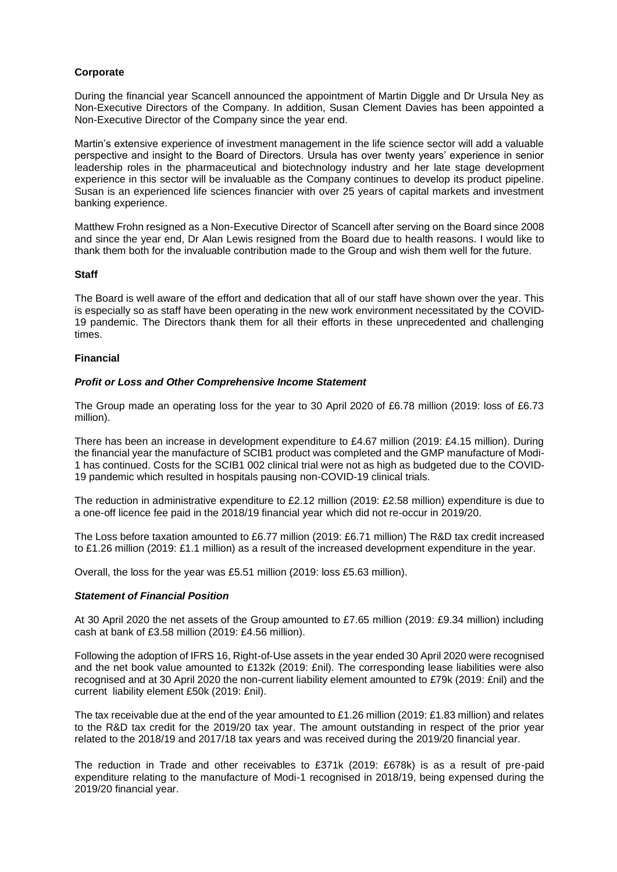## **Corporate**

During the financial year Scancell announced the appointment of Martin Diggle and Dr Ursula Ney as Non-Executive Directors of the Company. In addition, Susan Clement Davies has been appointed a Non-Executive Director of the Company since the year end.

Martin's extensive experience of investment management in the life science sector will add a valuable perspective and insight to the Board of Directors. Ursula has over twenty years' experience in senior leadership roles in the pharmaceutical and biotechnology industry and her late stage development experience in this sector will be invaluable as the Company continues to develop its product pipeline. Susan is an experienced life sciences financier with over 25 years of capital markets and investment banking experience.

Matthew Frohn resigned as a Non-Executive Director of Scancell after serving on the Board since 2008 and since the year end, Dr Alan Lewis resigned from the Board due to health reasons. I would like to thank them both for the invaluable contribution made to the Group and wish them well for the future.

#### **Staff**

The Board is well aware of the effort and dedication that all of our staff have shown over the year. This is especially so as staff have been operating in the new work environment necessitated by the COVID-19 pandemic. The Directors thank them for all their efforts in these unprecedented and challenging times.

### **Financial**

#### *Profit or Loss and Other Comprehensive Income Statement*

The Group made an operating loss for the year to 30 April 2020 of £6.78 million (2019: loss of £6.73 million).

There has been an increase in development expenditure to £4.67 million (2019: £4.15 million). During the financial year the manufacture of SCIB1 product was completed and the GMP manufacture of Modi-1 has continued. Costs for the SCIB1 002 clinical trial were not as high as budgeted due to the COVID-19 pandemic which resulted in hospitals pausing non-COVID-19 clinical trials.

The reduction in administrative expenditure to £2.12 million (2019: £2.58 million) expenditure is due to a one-off licence fee paid in the 2018/19 financial year which did not re-occur in 2019/20.

The Loss before taxation amounted to £6.77 million (2019: £6.71 million) The R&D tax credit increased to £1.26 million (2019: £1.1 million) as a result of the increased development expenditure in the year.

Overall, the loss for the year was £5.51 million (2019: loss £5.63 million).

#### *Statement of Financial Position*

At 30 April 2020 the net assets of the Group amounted to £7.65 million (2019: £9.34 million) including cash at bank of £3.58 million (2019: £4.56 million).

Following the adoption of IFRS 16, Right-of-Use assets in the year ended 30 April 2020 were recognised and the net book value amounted to £132k (2019: £nil). The corresponding lease liabilities were also recognised and at 30 April 2020 the non-current liability element amounted to £79k (2019: £nil) and the current liability element £50k (2019: £nil).

The tax receivable due at the end of the year amounted to £1.26 million (2019: £1.83 million) and relates to the R&D tax credit for the 2019/20 tax year. The amount outstanding in respect of the prior year related to the 2018/19 and 2017/18 tax years and was received during the 2019/20 financial year.

The reduction in Trade and other receivables to £371k (2019: £678k) is as a result of pre-paid expenditure relating to the manufacture of Modi-1 recognised in 2018/19, being expensed during the 2019/20 financial year.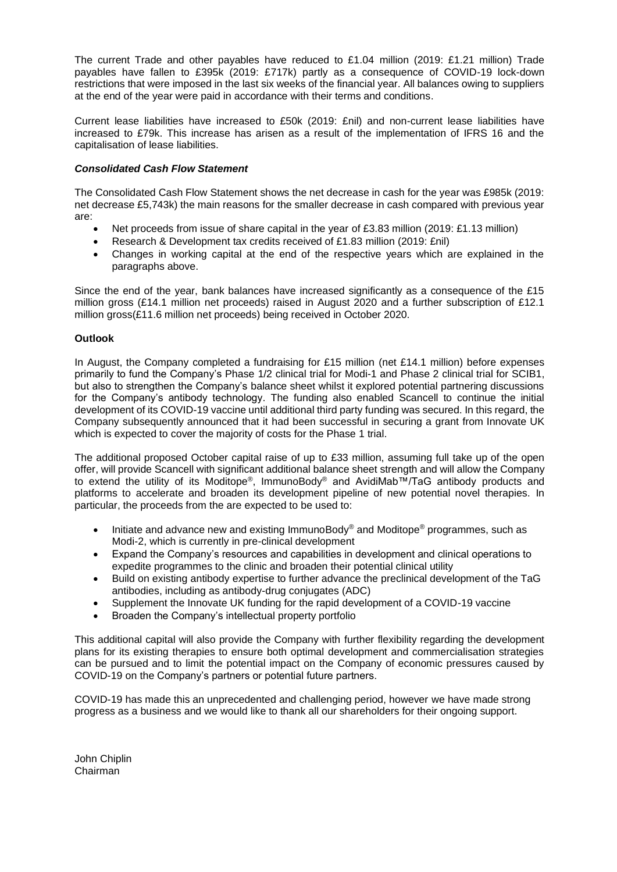The current Trade and other payables have reduced to £1.04 million (2019: £1.21 million) Trade payables have fallen to £395k (2019: £717k) partly as a consequence of COVID-19 lock-down restrictions that were imposed in the last six weeks of the financial year. All balances owing to suppliers at the end of the year were paid in accordance with their terms and conditions.

Current lease liabilities have increased to £50k (2019: £nil) and non-current lease liabilities have increased to £79k. This increase has arisen as a result of the implementation of IFRS 16 and the capitalisation of lease liabilities.

## *Consolidated Cash Flow Statement*

The Consolidated Cash Flow Statement shows the net decrease in cash for the year was £985k (2019: net decrease £5,743k) the main reasons for the smaller decrease in cash compared with previous year are:

- Net proceeds from issue of share capital in the year of £3.83 million (2019: £1.13 million)
- Research & Development tax credits received of £1.83 million (2019: £nil)
- Changes in working capital at the end of the respective years which are explained in the paragraphs above.

Since the end of the year, bank balances have increased significantly as a consequence of the £15 million gross (£14.1 million net proceeds) raised in August 2020 and a further subscription of £12.1 million gross(£11.6 million net proceeds) being received in October 2020.

## **Outlook**

In August, the Company completed a fundraising for £15 million (net £14.1 million) before expenses primarily to fund the Company's Phase 1/2 clinical trial for Modi-1 and Phase 2 clinical trial for SCIB1, but also to strengthen the Company's balance sheet whilst it explored potential partnering discussions for the Company's antibody technology. The funding also enabled Scancell to continue the initial development of its COVID-19 vaccine until additional third party funding was secured. In this regard, the Company subsequently announced that it had been successful in securing a grant from Innovate UK which is expected to cover the majority of costs for the Phase 1 trial.

The additional proposed October capital raise of up to £33 million, assuming full take up of the open offer, will provide Scancell with significant additional balance sheet strength and will allow the Company to extend the utility of its Moditope®, ImmunoBody® and AvidiMab™/TaG antibody products and platforms to accelerate and broaden its development pipeline of new potential novel therapies. In particular, the proceeds from the are expected to be used to:

- Initiate and advance new and existing ImmunoBody® and Moditope<sup>®</sup> programmes, such as Modi-2, which is currently in pre-clinical development
- Expand the Company's resources and capabilities in development and clinical operations to expedite programmes to the clinic and broaden their potential clinical utility
- Build on existing antibody expertise to further advance the preclinical development of the TaG antibodies, including as antibody-drug conjugates (ADC)
- Supplement the Innovate UK funding for the rapid development of a COVID-19 vaccine
- Broaden the Company's intellectual property portfolio

This additional capital will also provide the Company with further flexibility regarding the development plans for its existing therapies to ensure both optimal development and commercialisation strategies can be pursued and to limit the potential impact on the Company of economic pressures caused by COVID-19 on the Company's partners or potential future partners.

COVID-19 has made this an unprecedented and challenging period, however we have made strong progress as a business and we would like to thank all our shareholders for their ongoing support.

John Chiplin Chairman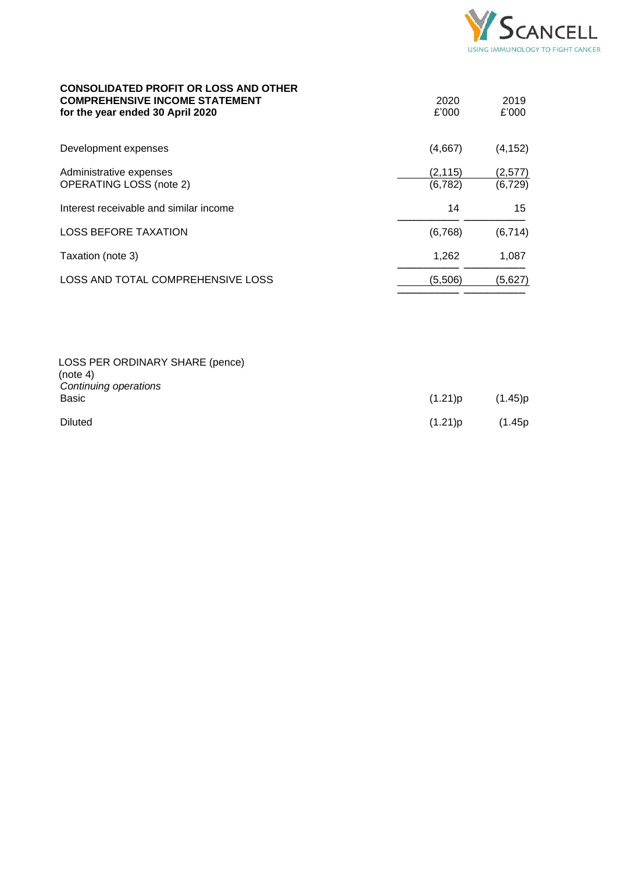

2019 £'000

2020 £'000

### **CONSOLIDATED PROFIT OR LOSS AND OTHER COMPREHENSIVE INCOME STATEMENT for the year ended 30 April 2020**

| Development expenses                                      | (4,667)              | (4, 152)            |
|-----------------------------------------------------------|----------------------|---------------------|
| Administrative expenses<br><b>OPERATING LOSS (note 2)</b> | (2, 115)<br>(6, 782) | (2,577)<br>(6, 729) |
| Interest receivable and similar income                    | 14                   | 15                  |
| <b>LOSS BEFORE TAXATION</b>                               | (6,768)              | (6, 714)            |
| Taxation (note 3)                                         | 1,262                | 1,087               |
| LOSS AND TOTAL COMPREHENSIVE LOSS                         | (5,506)              | (5,627)             |
|                                                           |                      |                     |

| LOSS PER ORDINARY SHARE (pence)<br>(note 4)<br>Continuing operations |            |         |
|----------------------------------------------------------------------|------------|---------|
| Basic                                                                | $(1.21)$ p | (1.45)p |
| <b>Diluted</b>                                                       | (1.21)p    | (1.45p) |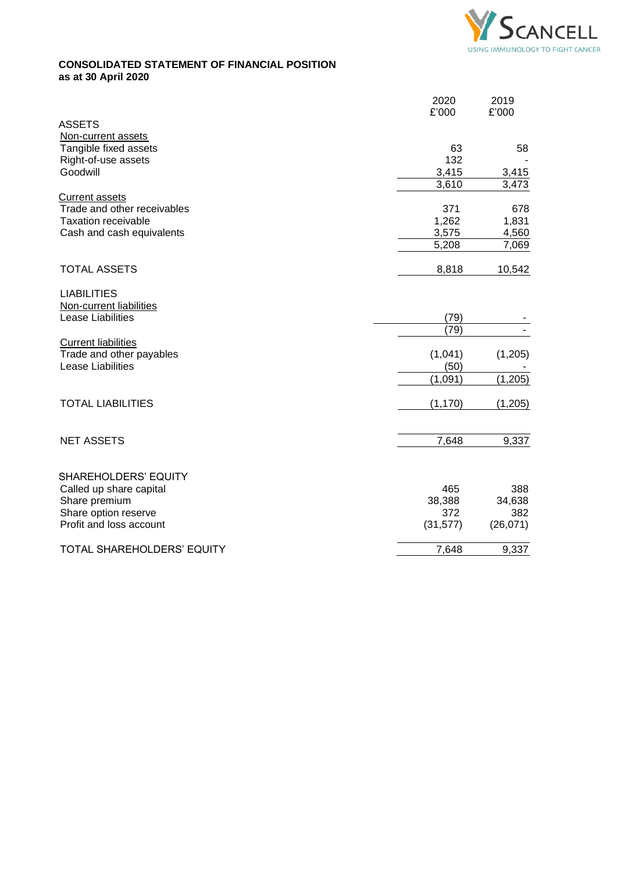

# **CONSOLIDATED STATEMENT OF FINANCIAL POSITION as at 30 April 2020**

| Non-current assets<br>Tangible fixed assets<br>63<br>132<br>Right-of-use assets<br>Goodwill<br>3,415<br>3,415<br>3,473<br>3,610<br><b>Current assets</b><br>Trade and other receivables<br>371<br>1,262<br><b>Taxation receivable</b><br>3,575<br>Cash and cash equivalents<br>5,208<br><b>TOTAL ASSETS</b><br>8,818<br><b>LIABILITIES</b><br>Non-current liabilities<br><b>Lease Liabilities</b><br>(79)<br>(79)<br><b>Current liabilities</b><br>Trade and other payables<br>(1,041)<br><b>Lease Liabilities</b><br>(50)<br>(1,091)<br><b>TOTAL LIABILITIES</b><br>(1, 170)<br><b>NET ASSETS</b><br>7,648<br><b>SHAREHOLDERS' EQUITY</b><br>Called up share capital<br>465<br>Share premium<br>38,388 | <b>ASSETS</b>        | 2020<br>£'000 | 2019<br>£'000                    |
|---------------------------------------------------------------------------------------------------------------------------------------------------------------------------------------------------------------------------------------------------------------------------------------------------------------------------------------------------------------------------------------------------------------------------------------------------------------------------------------------------------------------------------------------------------------------------------------------------------------------------------------------------------------------------------------------------------|----------------------|---------------|----------------------------------|
|                                                                                                                                                                                                                                                                                                                                                                                                                                                                                                                                                                                                                                                                                                         |                      |               | 58                               |
|                                                                                                                                                                                                                                                                                                                                                                                                                                                                                                                                                                                                                                                                                                         |                      |               |                                  |
|                                                                                                                                                                                                                                                                                                                                                                                                                                                                                                                                                                                                                                                                                                         |                      |               | 678<br>1,831<br>4,560            |
|                                                                                                                                                                                                                                                                                                                                                                                                                                                                                                                                                                                                                                                                                                         |                      |               | 7,069                            |
|                                                                                                                                                                                                                                                                                                                                                                                                                                                                                                                                                                                                                                                                                                         |                      |               | 10,542                           |
|                                                                                                                                                                                                                                                                                                                                                                                                                                                                                                                                                                                                                                                                                                         |                      |               |                                  |
|                                                                                                                                                                                                                                                                                                                                                                                                                                                                                                                                                                                                                                                                                                         |                      |               |                                  |
|                                                                                                                                                                                                                                                                                                                                                                                                                                                                                                                                                                                                                                                                                                         |                      |               | (1,205)                          |
|                                                                                                                                                                                                                                                                                                                                                                                                                                                                                                                                                                                                                                                                                                         |                      |               | (1, 205)                         |
|                                                                                                                                                                                                                                                                                                                                                                                                                                                                                                                                                                                                                                                                                                         |                      |               | (1,205)                          |
|                                                                                                                                                                                                                                                                                                                                                                                                                                                                                                                                                                                                                                                                                                         |                      |               | 9,337                            |
| Profit and loss account<br>(31, 577)                                                                                                                                                                                                                                                                                                                                                                                                                                                                                                                                                                                                                                                                    | Share option reserve | 372           | 388<br>34,638<br>382<br>(26,071) |
| TOTAL SHAREHOLDERS' EQUITY<br>7,648                                                                                                                                                                                                                                                                                                                                                                                                                                                                                                                                                                                                                                                                     |                      |               | 9,337                            |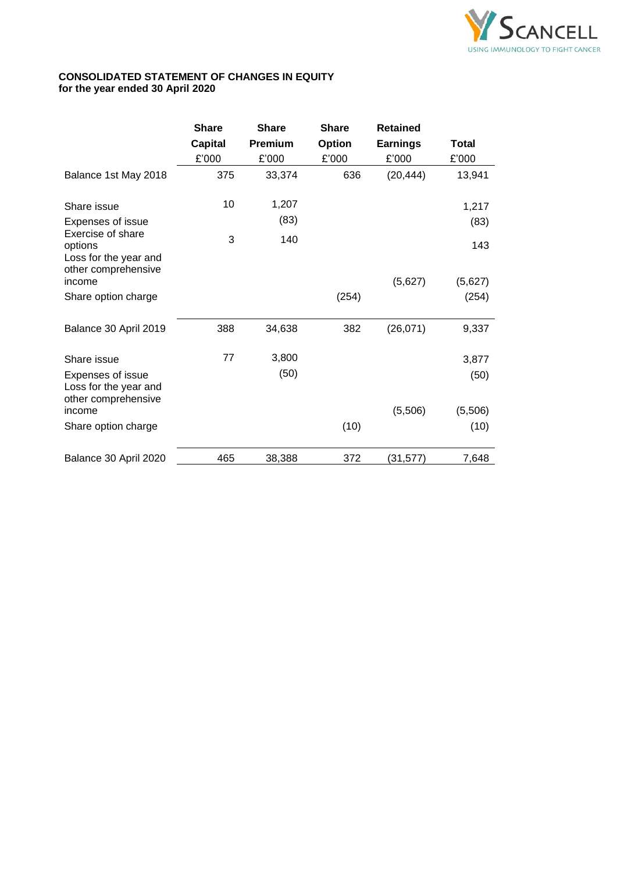

# **CONSOLIDATED STATEMENT OF CHANGES IN EQUITY for the year ended 30 April 2020**

|                                                       | <b>Share</b>   | <b>Share</b>   | <b>Share</b>  | <b>Retained</b> |              |
|-------------------------------------------------------|----------------|----------------|---------------|-----------------|--------------|
|                                                       | <b>Capital</b> | <b>Premium</b> | <b>Option</b> | <b>Earnings</b> | <b>Total</b> |
|                                                       | £'000          | £'000          | £'000         | £'000           | £'000        |
| Balance 1st May 2018                                  | 375            | 33,374         | 636           | (20, 444)       | 13,941       |
| Share issue                                           | 10             | 1,207          |               |                 | 1,217        |
| <b>Expenses of issue</b>                              |                | (83)           |               |                 | (83)         |
| Exercise of share<br>options<br>Loss for the year and | 3              | 140            |               |                 | 143          |
| other comprehensive<br>income                         |                |                |               | (5,627)         | (5,627)      |
| Share option charge                                   |                |                | (254)         |                 | (254)        |
| Balance 30 April 2019                                 | 388            | 34,638         | 382           | (26, 071)       | 9,337        |
| Share issue                                           | 77             | 3,800          |               |                 | 3,877        |
| Expenses of issue<br>Loss for the year and            |                | (50)           |               |                 | (50)         |
| other comprehensive<br>income                         |                |                |               | (5,506)         | (5,506)      |
| Share option charge                                   |                |                | (10)          |                 | (10)         |
| Balance 30 April 2020                                 | 465            | 38,388         | 372           | (31, 577)       | 7,648        |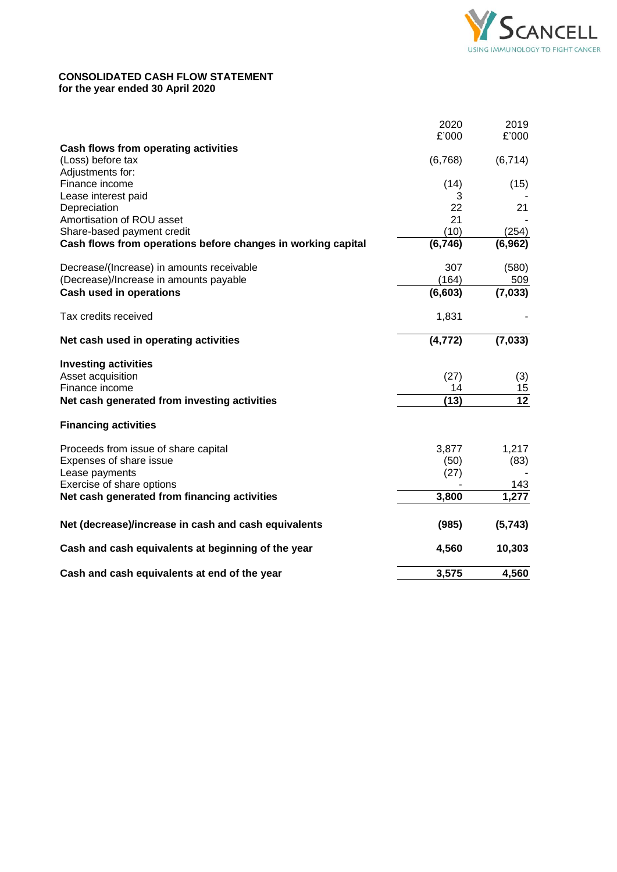

## **CONSOLIDATED CASH FLOW STATEMENT for the year ended 30 April 2020**

|                                                              | 2020<br>£'000 | 2019<br>£'000   |
|--------------------------------------------------------------|---------------|-----------------|
| Cash flows from operating activities                         |               |                 |
| (Loss) before tax                                            | (6,768)       | (6,714)         |
| Adjustments for:                                             |               |                 |
| Finance income                                               | (14)          | (15)            |
| Lease interest paid                                          | 3             |                 |
| Depreciation                                                 | 22            | 21              |
| Amortisation of ROU asset                                    | 21            |                 |
| Share-based payment credit                                   | (10)          | (254)           |
| Cash flows from operations before changes in working capital | (6, 746)      | (6, 962)        |
| Decrease/(Increase) in amounts receivable                    | 307           | (580)           |
| (Decrease)/Increase in amounts payable                       | (164)         | 509             |
| <b>Cash used in operations</b>                               | (6, 603)      | (7, 033)        |
| Tax credits received                                         | 1,831         |                 |
| Net cash used in operating activities                        | (4, 772)      | (7,033)         |
| <b>Investing activities</b>                                  |               |                 |
| Asset acquisition                                            | (27)          | (3)             |
| Finance income                                               | 14            | 15              |
| Net cash generated from investing activities                 | (13)          | $\overline{12}$ |
| <b>Financing activities</b>                                  |               |                 |
| Proceeds from issue of share capital                         | 3,877         | 1,217           |
| Expenses of share issue                                      | (50)          | (83)            |
| Lease payments                                               | (27)          |                 |
| Exercise of share options                                    |               | 143             |
| Net cash generated from financing activities                 | 3,800         | 1,277           |
| Net (decrease)/increase in cash and cash equivalents         | (985)         | (5,743)         |
| Cash and cash equivalents at beginning of the year           | 4,560         | 10,303          |
| Cash and cash equivalents at end of the year                 | 3,575         | 4,560           |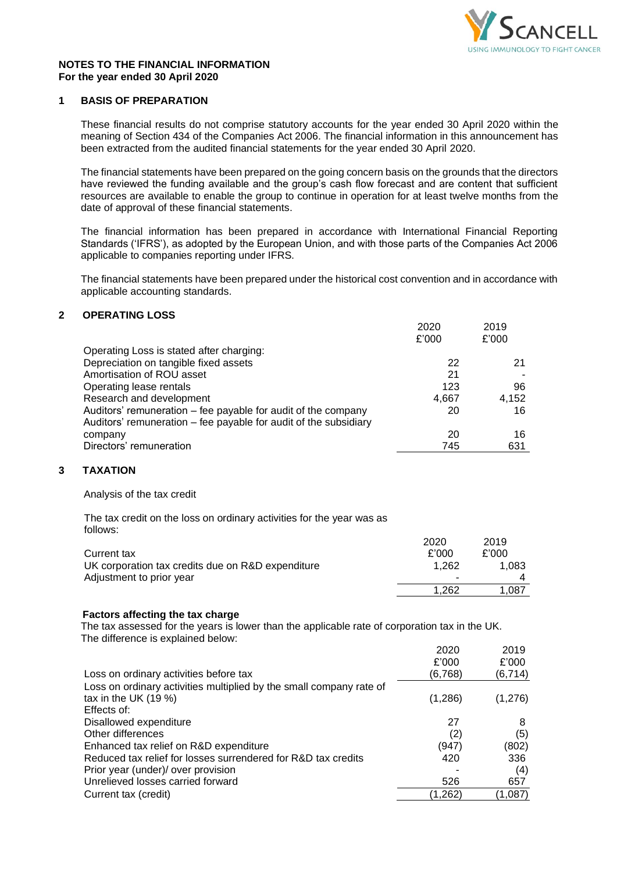

### **NOTES TO THE FINANCIAL INFORMATION For the year ended 30 April 2020**

## **1 BASIS OF PREPARATION**

These financial results do not comprise statutory accounts for the year ended 30 April 2020 within the meaning of Section 434 of the Companies Act 2006. The financial information in this announcement has been extracted from the audited financial statements for the year ended 30 April 2020.

The financial statements have been prepared on the going concern basis on the grounds that the directors have reviewed the funding available and the group's cash flow forecast and are content that sufficient resources are available to enable the group to continue in operation for at least twelve months from the date of approval of these financial statements.

The financial information has been prepared in accordance with International Financial Reporting Standards ('IFRS'), as adopted by the European Union, and with those parts of the Companies Act 2006 applicable to companies reporting under IFRS.

The financial statements have been prepared under the historical cost convention and in accordance with applicable accounting standards.

## **2 OPERATING LOSS**

|                                                                  | 2020  | 2019  |
|------------------------------------------------------------------|-------|-------|
|                                                                  | £'000 | £'000 |
| Operating Loss is stated after charging:                         |       |       |
| Depreciation on tangible fixed assets                            | 22    | 21    |
| Amortisation of ROU asset                                        | 21    |       |
| Operating lease rentals                                          | 123   | 96    |
| Research and development                                         | 4,667 | 4.152 |
| Auditors' remuneration - fee payable for audit of the company    | 20    | 16    |
| Auditors' remuneration – fee payable for audit of the subsidiary |       |       |
| company                                                          | 20    | 16    |
| Directors' remuneration                                          | 745   | 631   |

### **3 TAXATION**

Analysis of the tax credit

The tax credit on the loss on ordinary activities for the year was as follows:

|                                                   | 2020                     | 2019  |
|---------------------------------------------------|--------------------------|-------|
| Current tax                                       | f'000                    | £'000 |
| UK corporation tax credits due on R&D expenditure | 1.262                    | 1.083 |
| Adjustment to prior year                          | $\overline{\phantom{a}}$ |       |
|                                                   | 1.262                    | 1.087 |

#### **Factors affecting the tax charge**

The tax assessed for the years is lower than the applicable rate of corporation tax in the UK. The difference is explained below:

|                                                                     | 2020     | 2019     |
|---------------------------------------------------------------------|----------|----------|
|                                                                     | £'000    | £'000    |
| Loss on ordinary activities before tax                              | (6,768)  | (6, 714) |
| Loss on ordinary activities multiplied by the small company rate of |          |          |
| tax in the UK $(19\%)$                                              | (1,286)  | (1,276)  |
| Effects of:                                                         |          |          |
| Disallowed expenditure                                              | 27       | 8        |
| Other differences                                                   | (2)      | (5)      |
| Enhanced tax relief on R&D expenditure                              | (947)    | (802)    |
| Reduced tax relief for losses surrendered for R&D tax credits       | 420      | 336      |
| Prior year (under)/ over provision                                  |          | (4)      |
| Unrelieved losses carried forward                                   | 526      | 657      |
| Current tax (credit)                                                | (1, 262) | (1,087)  |